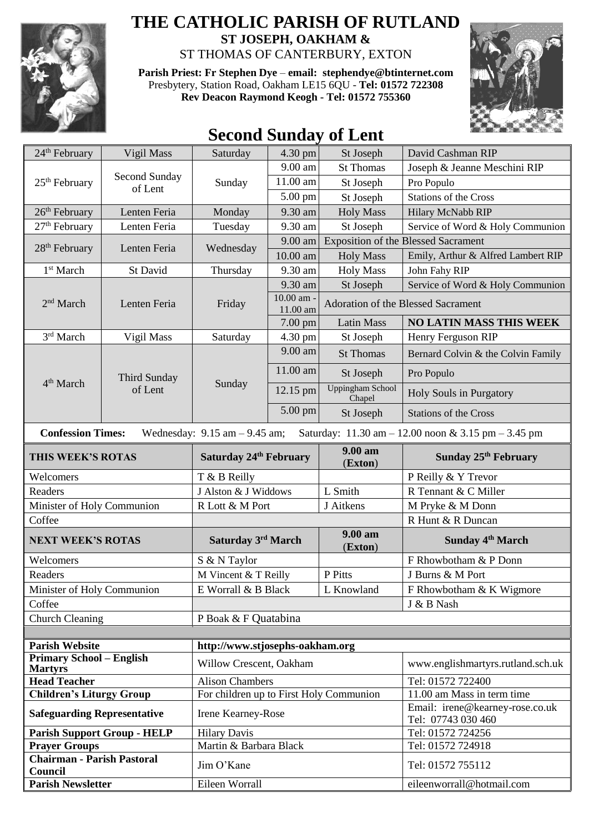

## **THE CATHOLIC PARISH OF RUTLAND ST JOSEPH, OAKHAM &**

ST THOMAS OF CANTERBURY, EXTON

**Parish Priest: Fr Stephen Dye** – **[email: stephendye@btinternet.com](mailto:email:%20%20stephendye@btinternet.com)** Presbytery, Station Road, Oakham LE15 6QU - **Tel: 01572 722308 Rev Deacon Raymond Keogh - Tel: 01572 755360**



## **Second Sunday of Lent**

| 24 <sup>th</sup> February                         | Vigil Mass                     | Saturday                                | $4.30$ pm              | St Joseph                          | David Cashman RIP                                     |  |
|---------------------------------------------------|--------------------------------|-----------------------------------------|------------------------|------------------------------------|-------------------------------------------------------|--|
| 25 <sup>th</sup> February                         | Second Sunday<br>of Lent       | Sunday                                  | 9.00 am                | <b>St Thomas</b>                   | Joseph & Jeanne Meschini RIP                          |  |
|                                                   |                                |                                         | 11.00 am               | St Joseph                          | Pro Populo                                            |  |
|                                                   |                                |                                         | $5.00 \text{ pm}$      | St Joseph                          | <b>Stations of the Cross</b>                          |  |
| $26th$ February                                   | Lenten Feria                   | Monday                                  | 9.30 am                | <b>Holy Mass</b>                   | Hilary McNabb RIP                                     |  |
| 27 <sup>th</sup> February                         | Lenten Feria                   | Tuesday                                 | 9.30 am                | St Joseph                          | Service of Word & Holy Communion                      |  |
| 28 <sup>th</sup> February                         | Lenten Feria                   | Wednesday                               | 9.00 am                |                                    | <b>Exposition of the Blessed Sacrament</b>            |  |
|                                                   |                                |                                         | 10.00 am               | <b>Holy Mass</b>                   | Emily, Arthur & Alfred Lambert RIP                    |  |
| 1 <sup>st</sup> March                             | St David                       | Thursday                                | 9.30 am                | <b>Holy Mass</b>                   | John Fahy RIP                                         |  |
| 2 <sup>nd</sup> March                             | Lenten Feria                   | Friday                                  | 9.30 am                | St Joseph                          | Service of Word & Holy Communion                      |  |
|                                                   |                                |                                         | 10.00 am -<br>11.00 am | Adoration of the Blessed Sacrament |                                                       |  |
|                                                   |                                |                                         | 7.00 pm                | <b>Latin Mass</b>                  | <b>NO LATIN MASS THIS WEEK</b>                        |  |
| 3rd March                                         | Vigil Mass                     | Saturday                                | 4.30 pm                | St Joseph                          | Henry Ferguson RIP                                    |  |
|                                                   | <b>Third Sunday</b><br>of Lent | Sunday                                  | 9.00 am                | <b>St Thomas</b>                   | Bernard Colvin & the Colvin Family                    |  |
| 4 <sup>th</sup> March                             |                                |                                         | 11.00 am               | St Joseph                          | Pro Populo                                            |  |
|                                                   |                                |                                         | 12.15 pm               | <b>Uppingham School</b><br>Chapel  | Holy Souls in Purgatory                               |  |
|                                                   |                                |                                         | 5.00 pm                | St Joseph                          | <b>Stations of the Cross</b>                          |  |
| <b>Confession Times:</b>                          |                                | Wednesday: $9.15$ am $- 9.45$ am;       |                        |                                    | Saturday: 11.30 am - 12.00 noon & 3.15 pm - 3.45 pm   |  |
| THIS WEEK'S ROTAS                                 |                                | Saturday 24th February                  |                        | 9.00 am<br>(Exton)                 | Sunday 25 <sup>th</sup> February                      |  |
| Welcomers                                         |                                | T & B Reilly                            |                        |                                    | P Reilly & Y Trevor                                   |  |
| Readers                                           |                                | J Alston & J Widdows                    |                        | L Smith                            | R Tennant & C Miller                                  |  |
| Minister of Holy Communion                        |                                | R Lott & M Port                         |                        | J Aitkens                          | M Pryke & M Donn                                      |  |
| Coffee                                            |                                |                                         |                        |                                    | R Hunt & R Duncan                                     |  |
| <b>NEXT WEEK'S ROTAS</b>                          |                                | Saturday 3rd March                      |                        | 9.00 am<br>(Exton)                 | Sunday 4 <sup>th</sup> March                          |  |
| Welcomers                                         |                                | S & N Taylor                            |                        |                                    | F Rhowbotham & P Donn                                 |  |
| Readers                                           |                                | M Vincent & T Reilly                    |                        | P Pitts                            | J Burns & M Port                                      |  |
| Minister of Holy Communion                        |                                | E Worrall & B Black                     |                        | L Knowland                         | F Rhowbotham & K Wigmore                              |  |
| Coffee                                            |                                |                                         |                        |                                    | J & B Nash                                            |  |
| <b>Church Cleaning</b>                            |                                | P Boak & F Quatabina                    |                        |                                    |                                                       |  |
|                                                   |                                |                                         |                        |                                    |                                                       |  |
| <b>Parish Website</b>                             |                                | http://www.stjosephs-oakham.org         |                        |                                    |                                                       |  |
| <b>Primary School - English</b><br><b>Martyrs</b> |                                | Willow Crescent, Oakham                 |                        |                                    | www.englishmartyrs.rutland.sch.uk                     |  |
| <b>Head Teacher</b>                               |                                | <b>Alison Chambers</b>                  |                        |                                    | Tel: 01572 722400                                     |  |
| <b>Children's Liturgy Group</b>                   |                                | For children up to First Holy Communion |                        |                                    | 11.00 am Mass in term time                            |  |
| <b>Safeguarding Representative</b>                |                                | Irene Kearney-Rose                      |                        |                                    | Email: irene@kearney-rose.co.uk<br>Tel: 07743 030 460 |  |
| <b>Parish Support Group - HELP</b>                |                                | <b>Hilary Davis</b>                     |                        |                                    | Tel: 01572 724256                                     |  |
| <b>Prayer Groups</b>                              |                                | Martin & Barbara Black                  |                        |                                    | Tel: 01572 724918                                     |  |
| <b>Chairman - Parish Pastoral</b><br>Council      |                                | Jim O'Kane                              |                        |                                    | Tel: 01572 755112                                     |  |
| <b>Parish Newsletter</b>                          |                                | Eileen Worrall                          |                        |                                    | eileenworrall@hotmail.com                             |  |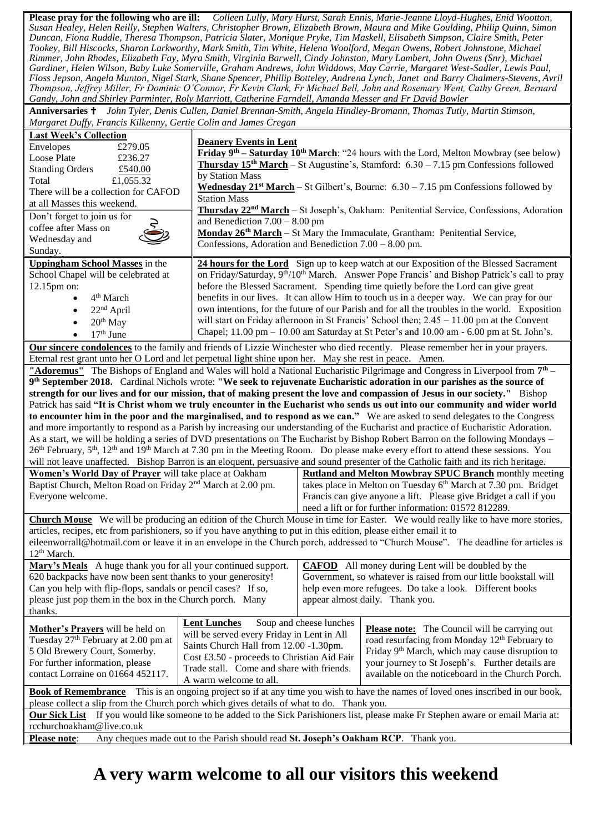**Please pray for the following who are ill:** *Colleen Lully, Mary Hurst, Sarah Ennis, Marie-Jeanne Lloyd-Hughes, Enid Wootton, Susan Healey, Helen Reilly, Stephen Walters, Christopher Brown, Elizabeth Brown, Maura and Mike Goulding, Philip Quinn, Simon Duncan, Fiona Ruddle, Theresa Thompson, Patricia Slater, Monique Pryke, Tim Maskell, Elisabeth Simpson, Claire Smith, Peter Tookey, Bill Hiscocks, Sharon Larkworthy, Mark Smith, Tim White, Helena Woolford, Megan Owens, Robert Johnstone, Michael Rimmer, John Rhodes, Elizabeth Fay, Myra Smith, Virginia Barwell, Cindy Johnston, Mary Lambert, John Owens (Snr), Michael Gardiner, Helen Wilson, Baby Luke Somerville, Graham Andrews, John Widdows, May Carrie, Margaret West-Sadler, Lewis Paul, Floss Jepson, Angela Munton, Nigel Stark, Shane Spencer, Phillip Botteley, Andrena Lynch, Janet and Barry Chalmers-Stevens, Avril Thompson, Jeffrey Miller, Fr Dominic O'Connor, Fr Kevin Clark, Fr Michael Bell, John and Rosemary Went, Cathy Green, Bernard Gandy, John and Shirley Parminter, Roly Marriott, Catherine Farndell, Amanda Messer and Fr David Bowler*

**Anniversaries** *John Tyler, Denis Cullen, Daniel Brennan-Smith, Angela Hindley-Bromann, Thomas Tutly, Martin Stimson, Margaret Duffy, Francis Kilkenny, Gertie Colin and James Cregan*

| <b>Last Week's Collection</b>                                                                                                             | <b>Deanery Events in Lent</b>                                                                                       |                                                                                             |                                                                                                                                            |  |  |  |
|-------------------------------------------------------------------------------------------------------------------------------------------|---------------------------------------------------------------------------------------------------------------------|---------------------------------------------------------------------------------------------|--------------------------------------------------------------------------------------------------------------------------------------------|--|--|--|
| £279.05<br>Envelopes                                                                                                                      | <b>Friday 9<sup>th</sup> – Saturday 10<sup>th</sup> March:</b> "24 hours with the Lord, Melton Mowbray (see below)  |                                                                                             |                                                                                                                                            |  |  |  |
| Loose Plate<br>£236.27                                                                                                                    | <b>Thursday 15<sup>th</sup> March</b> – St Augustine's, Stamford: $6.30 - 7.15$ pm Confessions followed             |                                                                                             |                                                                                                                                            |  |  |  |
| <b>Standing Orders</b><br>£540.00                                                                                                         | by Station Mass                                                                                                     |                                                                                             |                                                                                                                                            |  |  |  |
| £1,055.32<br>Total                                                                                                                        | <b>Wednesday 21<sup>st</sup> March</b> – St Gilbert's, Bourne: $6.30 - 7.15$ pm Confessions followed by             |                                                                                             |                                                                                                                                            |  |  |  |
| There will be a collection for CAFOD                                                                                                      | <b>Station Mass</b>                                                                                                 |                                                                                             |                                                                                                                                            |  |  |  |
| at all Masses this weekend.                                                                                                               | Thursday 22 <sup>nd</sup> March - St Joseph's, Oakham: Penitential Service, Confessions, Adoration                  |                                                                                             |                                                                                                                                            |  |  |  |
| Don't forget to join us for                                                                                                               | and Benediction $7.00 - 8.00$ pm                                                                                    |                                                                                             |                                                                                                                                            |  |  |  |
| coffee after Mass on                                                                                                                      | Monday 26 <sup>th</sup> March - St Mary the Immaculate, Grantham: Penitential Service,                              |                                                                                             |                                                                                                                                            |  |  |  |
| Wednesday and                                                                                                                             | Confessions, Adoration and Benediction $7.00 - 8.00$ pm.                                                            |                                                                                             |                                                                                                                                            |  |  |  |
| Sunday.                                                                                                                                   |                                                                                                                     |                                                                                             |                                                                                                                                            |  |  |  |
| Uppingham School Masses in the                                                                                                            |                                                                                                                     | 24 hours for the Lord Sign up to keep watch at our Exposition of the Blessed Sacrament      |                                                                                                                                            |  |  |  |
| School Chapel will be celebrated at                                                                                                       | on Friday/Saturday, 9 <sup>th</sup> /10 <sup>th</sup> March. Answer Pope Francis' and Bishop Patrick's call to pray |                                                                                             |                                                                                                                                            |  |  |  |
| 12.15pm on:                                                                                                                               | before the Blessed Sacrament. Spending time quietly before the Lord can give great                                  |                                                                                             |                                                                                                                                            |  |  |  |
| 4 <sup>th</sup> March                                                                                                                     | benefits in our lives. It can allow Him to touch us in a deeper way. We can pray for our                            |                                                                                             |                                                                                                                                            |  |  |  |
| $22nd$ April<br>$\bullet$                                                                                                                 | own intentions, for the future of our Parish and for all the troubles in the world. Exposition                      |                                                                                             |                                                                                                                                            |  |  |  |
| $20th$ May                                                                                                                                |                                                                                                                     | will start on Friday afternoon in St Francis' School then; $2.45 - 11.00$ pm at the Convent |                                                                                                                                            |  |  |  |
| $17th$ June                                                                                                                               |                                                                                                                     | Chapel; 11.00 pm – 10.00 am Saturday at St Peter's and 10.00 am - 6.00 pm at St. John's.    |                                                                                                                                            |  |  |  |
|                                                                                                                                           |                                                                                                                     |                                                                                             |                                                                                                                                            |  |  |  |
|                                                                                                                                           |                                                                                                                     |                                                                                             | Our sincere condolences to the family and friends of Lizzie Winchester who died recently. Please remember her in your prayers.             |  |  |  |
| Eternal rest grant unto her O Lord and let perpetual light shine upon her. May she rest in peace. Amen.                                   |                                                                                                                     |                                                                                             |                                                                                                                                            |  |  |  |
|                                                                                                                                           |                                                                                                                     |                                                                                             | "Adoremus" The Bishops of England and Wales will hold a National Eucharistic Pilgrimage and Congress in Liverpool from 7 <sup>th</sup> –   |  |  |  |
|                                                                                                                                           |                                                                                                                     |                                                                                             | 9th September 2018. Cardinal Nichols wrote: "We seek to rejuvenate Eucharistic adoration in our parishes as the source of                  |  |  |  |
|                                                                                                                                           |                                                                                                                     |                                                                                             | strength for our lives and for our mission, that of making present the love and compassion of Jesus in our society." Bishop                |  |  |  |
|                                                                                                                                           |                                                                                                                     |                                                                                             | Patrick has said "It is Christ whom we truly encounter in the Eucharist who sends us out into our community and wider world                |  |  |  |
|                                                                                                                                           |                                                                                                                     |                                                                                             | to encounter him in the poor and the marginalised, and to respond as we can." We are asked to send delegates to the Congress               |  |  |  |
|                                                                                                                                           |                                                                                                                     |                                                                                             | and more importantly to respond as a Parish by increasing our understanding of the Eucharist and practice of Eucharistic Adoration.        |  |  |  |
|                                                                                                                                           |                                                                                                                     |                                                                                             | As a start, we will be holding a series of DVD presentations on The Eucharist by Bishop Robert Barron on the following Mondays -           |  |  |  |
|                                                                                                                                           |                                                                                                                     |                                                                                             | $26th$ February, $5th$ , $12th$ and $19th$ March at 7.30 pm in the Meeting Room. Do please make every effort to attend these sessions. You |  |  |  |
|                                                                                                                                           |                                                                                                                     |                                                                                             | will not leave unaffected. Bishop Barron is an eloquent, persuasive and sound presenter of the Catholic faith and its rich heritage.       |  |  |  |
| Women's World Day of Prayer will take place at Oakham                                                                                     |                                                                                                                     |                                                                                             | <b>Rutland and Melton Mowbray SPUC Branch</b> monthly meeting                                                                              |  |  |  |
| Baptist Church, Melton Road on Friday 2 <sup>nd</sup> March at 2.00 pm.                                                                   |                                                                                                                     | takes place in Melton on Tuesday 6 <sup>th</sup> March at 7.30 pm. Bridget                  |                                                                                                                                            |  |  |  |
| Everyone welcome.                                                                                                                         |                                                                                                                     |                                                                                             | Francis can give anyone a lift. Please give Bridget a call if you                                                                          |  |  |  |
|                                                                                                                                           |                                                                                                                     | need a lift or for further information: 01572 812289.                                       |                                                                                                                                            |  |  |  |
|                                                                                                                                           |                                                                                                                     |                                                                                             | <b>Church Mouse</b> We will be producing an edition of the Church Mouse in time for Easter. We would really like to have more stories,     |  |  |  |
| articles, recipes, etc from parishioners, so if you have anything to put in this edition, please either email it to                       |                                                                                                                     |                                                                                             |                                                                                                                                            |  |  |  |
|                                                                                                                                           |                                                                                                                     |                                                                                             | eileenworrall@hotmail.com or leave it in an envelope in the Church porch, addressed to "Church Mouse". The deadline for articles is        |  |  |  |
| 12 <sup>th</sup> March.                                                                                                                   |                                                                                                                     |                                                                                             |                                                                                                                                            |  |  |  |
| Mary's Meals A huge thank you for all your continued support.                                                                             |                                                                                                                     | <b>CAFOD</b> All money during Lent will be doubled by the                                   |                                                                                                                                            |  |  |  |
| 620 backpacks have now been sent thanks to your generosity!                                                                               |                                                                                                                     | Government, so whatever is raised from our little bookstall will                            |                                                                                                                                            |  |  |  |
| Can you help with flip-flops, sandals or pencil cases? If so,                                                                             |                                                                                                                     | help even more refugees. Do take a look. Different books                                    |                                                                                                                                            |  |  |  |
| please just pop them in the box in the Church porch. Many                                                                                 |                                                                                                                     | appear almost daily. Thank you.                                                             |                                                                                                                                            |  |  |  |
| thanks.                                                                                                                                   |                                                                                                                     |                                                                                             |                                                                                                                                            |  |  |  |
|                                                                                                                                           | <b>Lent Lunches</b>                                                                                                 | Soup and cheese lunches                                                                     |                                                                                                                                            |  |  |  |
| Mother's Prayers will be held on                                                                                                          | will be served every Friday in Lent in All                                                                          |                                                                                             | <b>Please note:</b> The Council will be carrying out                                                                                       |  |  |  |
| Tuesday 27 <sup>th</sup> February at 2.00 pm at                                                                                           | Saints Church Hall from 12.00 -1.30pm.                                                                              |                                                                                             | road resurfacing from Monday 12 <sup>th</sup> February to                                                                                  |  |  |  |
| 5 Old Brewery Court, Somerby.                                                                                                             | Cost £3.50 - proceeds to Christian Aid Fair                                                                         |                                                                                             | Friday 9 <sup>th</sup> March, which may cause disruption to                                                                                |  |  |  |
| For further information, please                                                                                                           | Trade stall. Come and share with friends.                                                                           |                                                                                             | your journey to St Joseph's. Further details are                                                                                           |  |  |  |
| contact Lorraine on 01664 452117.                                                                                                         | A warm welcome to all.                                                                                              |                                                                                             | available on the noticeboard in the Church Porch.                                                                                          |  |  |  |
| <b>Book of Remembrance</b> This is an ongoing project so if at any time you wish to have the names of loved ones inscribed in our book,   |                                                                                                                     |                                                                                             |                                                                                                                                            |  |  |  |
| please collect a slip from the Church porch which gives details of what to do. Thank you.                                                 |                                                                                                                     |                                                                                             |                                                                                                                                            |  |  |  |
| <b>Our Sick List</b> If you would like someone to be added to the Sick Parishioners list, please make Fr Stephen aware or email Maria at: |                                                                                                                     |                                                                                             |                                                                                                                                            |  |  |  |
|                                                                                                                                           |                                                                                                                     |                                                                                             |                                                                                                                                            |  |  |  |
| rcchurchoakham@live.co.uk                                                                                                                 |                                                                                                                     |                                                                                             |                                                                                                                                            |  |  |  |
| Any cheques made out to the Parish should read St. Joseph's Oakham RCP. Thank you.<br><b>Please note:</b>                                 |                                                                                                                     |                                                                                             |                                                                                                                                            |  |  |  |

## **A very warm welcome to all our visitors this weekend**